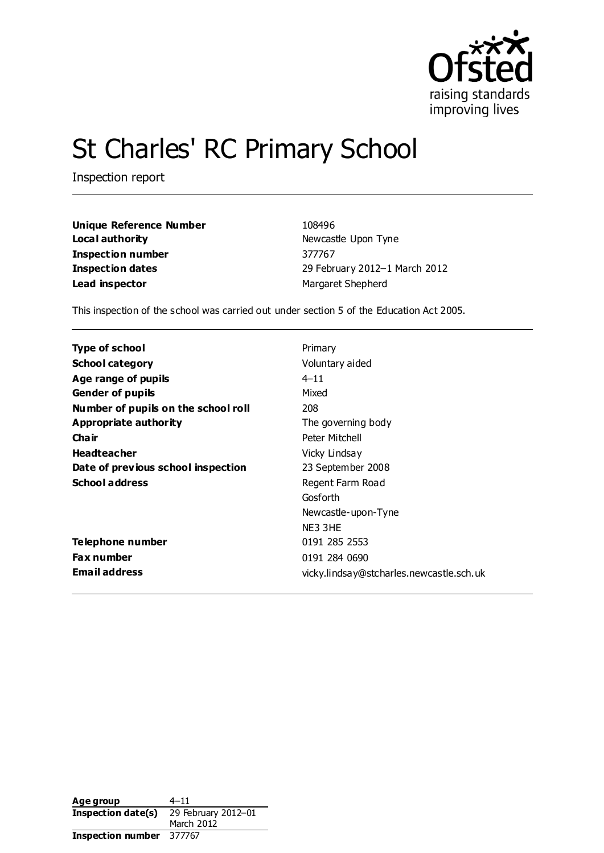

# St Charles' RC Primary School

Inspection report

**Unique Reference Number** 108496 **Local authority Newcastle Upon Tyne Inspection number** 377767 **Lead inspector** Margaret Shepherd

**Inspection dates** 29 February 2012–1 March 2012

This inspection of the school was carried out under section 5 of the Education Act 2005.

| Type of school                      | Primary                                  |
|-------------------------------------|------------------------------------------|
| <b>School category</b>              | Voluntary aided                          |
| Age range of pupils                 | $4 - 11$                                 |
| <b>Gender of pupils</b>             | Mixed                                    |
| Number of pupils on the school roll | 208                                      |
| Appropriate authority               | The governing body                       |
| Cha ir                              | Peter Mitchell                           |
| <b>Headteacher</b>                  | Vicky Lindsay                            |
| Date of previous school inspection  | 23 September 2008                        |
| <b>School address</b>               | Regent Farm Road                         |
|                                     | Gosforth                                 |
|                                     | Newcastle-upon-Tyne                      |
|                                     | NE3 3HE                                  |
| Telephone number                    | 0191 285 2553                            |
| <b>Fax number</b>                   | 0191 284 0690                            |
| <b>Email address</b>                | vicky.lindsay@stcharles.newcastle.sch.uk |

| Age group          | $4 - 11$            |
|--------------------|---------------------|
| Inspection date(s) | 29 February 2012-01 |
|                    | March 2012          |
| Inspection number  | 377767              |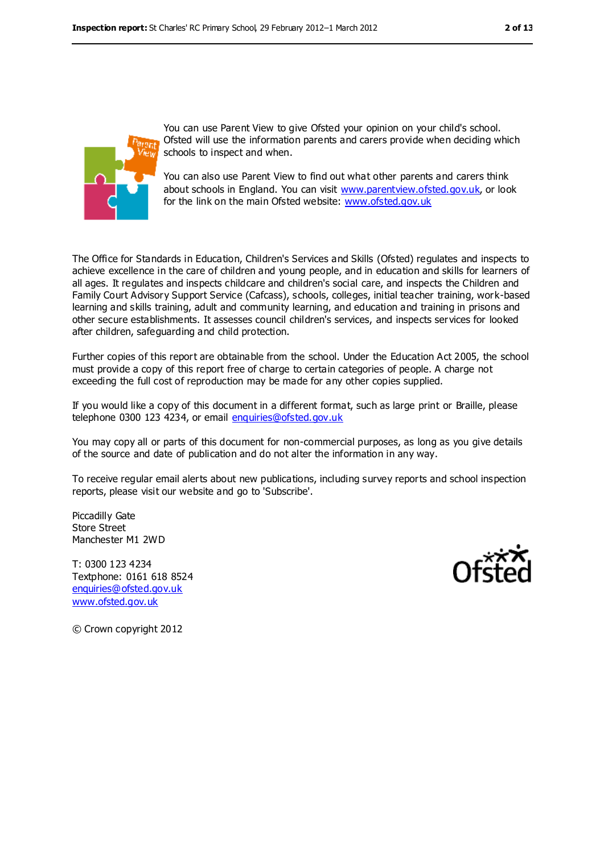

You can use Parent View to give Ofsted your opinion on your child's school. Ofsted will use the information parents and carers provide when deciding which schools to inspect and when.

You can also use Parent View to find out what other parents and carers think about schools in England. You can visit [www.parentview.ofsted.gov.uk,](../../../../../AppData/Local/Microsoft/AppData/Local/Microsoft/Windows/Temporary%20Internet%20Files/Low/Content.IE5/VO866RFS/www.parentview.ofsted.gov.uk) or look for the link on the main Ofsted website: [www.ofsted.gov.uk](../../../../../AppData/Local/Microsoft/AppData/Local/Microsoft/Windows/Temporary%20Internet%20Files/Low/Content.IE5/VO866RFS/www.ofsted.gov.uk)

The Office for Standards in Education, Children's Services and Skills (Ofsted) regulates and inspects to achieve excellence in the care of children and young people, and in education and skills for learners of all ages. It regulates and inspects childcare and children's social care, and inspects the Children and Family Court Advisory Support Service (Cafcass), schools, colleges, initial teacher training, work-based learning and skills training, adult and community learning, and education and training in prisons and other secure establishments. It assesses council children's services, and inspects services for looked after children, safeguarding and child protection.

Further copies of this report are obtainable from the school. Under the Education Act 2005, the school must provide a copy of this report free of charge to certain categories of people. A charge not exceeding the full cost of reproduction may be made for any other copies supplied.

If you would like a copy of this document in a different format, such as large print or Braille, please telephone 0300 123 4234, or email [enquiries@ofsted.gov.uk](mailto:enquiries@ofsted.gov.uk)

You may copy all or parts of this document for non-commercial purposes, as long as you give details of the source and date of publication and do not alter the information in any way.

To receive regular email alerts about new publications, including survey reports and school inspection reports, please visit our website and go to 'Subscribe'.

Piccadilly Gate Store Street Manchester M1 2WD

T: 0300 123 4234 Textphone: 0161 618 8524 [enquiries@ofsted.gov.uk](mailto:enquiries@ofsted.gov.uk) [www.ofsted.gov.uk](http://www.ofsted.gov.uk/)



© Crown copyright 2012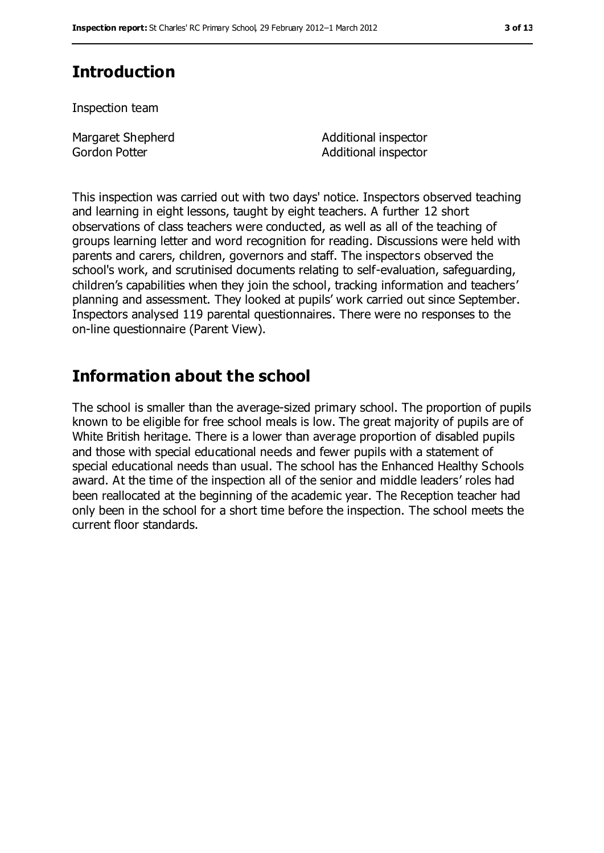# **Introduction**

Inspection team

Margaret Shepherd Gordon Potter

Additional inspector Additional inspector

This inspection was carried out with two days' notice. Inspectors observed teaching and learning in eight lessons, taught by eight teachers. A further 12 short observations of class teachers were conducted, as well as all of the teaching of groups learning letter and word recognition for reading. Discussions were held with parents and carers, children, governors and staff. The inspectors observed the school's work, and scrutinised documents relating to self-evaluation, safeguarding, children's capabilities when they join the school, tracking information and teachers' planning and assessment. They looked at pupils' work carried out since September. Inspectors analysed 119 parental questionnaires. There were no responses to the on-line questionnaire (Parent View).

## **Information about the school**

The school is smaller than the average-sized primary school. The proportion of pupils known to be eligible for free school meals is low. The great majority of pupils are of White British heritage. There is a lower than average proportion of disabled pupils and those with special educational needs and fewer pupils with a statement of special educational needs than usual. The school has the Enhanced Healthy Schools award. At the time of the inspection all of the senior and middle leaders' roles had been reallocated at the beginning of the academic year. The Reception teacher had only been in the school for a short time before the inspection. The school meets the current floor standards.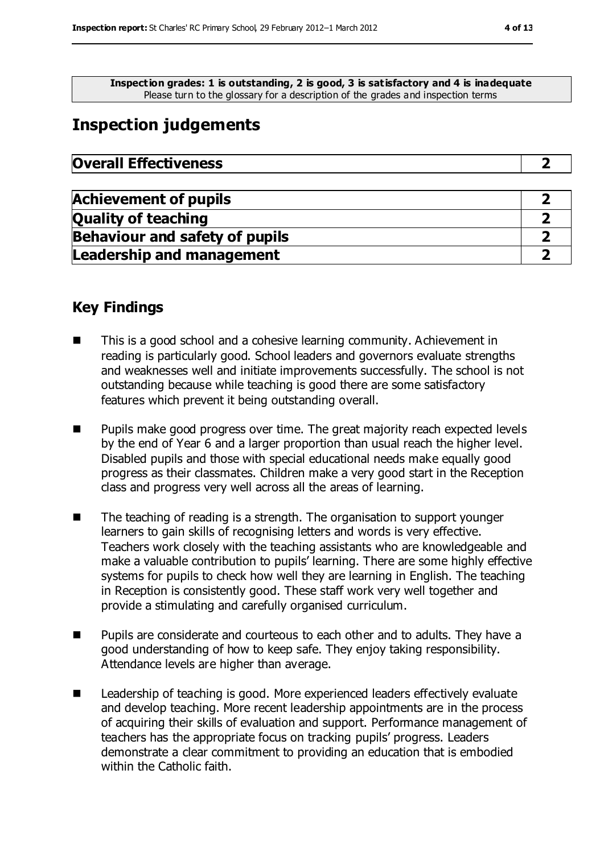**Inspection grades: 1 is outstanding, 2 is good, 3 is satisfactory and 4 is inadequate** Please turn to the glossary for a description of the grades and inspection terms

# **Inspection judgements**

| <b>Overall Effectiveness</b> |
|------------------------------|
|------------------------------|

| <b>Achievement of pupils</b>          |  |
|---------------------------------------|--|
| <b>Quality of teaching</b>            |  |
| <b>Behaviour and safety of pupils</b> |  |
| <b>Leadership and management</b>      |  |

## **Key Findings**

- This is a good school and a cohesive learning community. Achievement in reading is particularly good. School leaders and governors evaluate strengths and weaknesses well and initiate improvements successfully. The school is not outstanding because while teaching is good there are some satisfactory features which prevent it being outstanding overall.
- **Pupils make good progress over time. The great majority reach expected levels** by the end of Year 6 and a larger proportion than usual reach the higher level. Disabled pupils and those with special educational needs make equally good progress as their classmates. Children make a very good start in the Reception class and progress very well across all the areas of learning.
- The teaching of reading is a strength. The organisation to support younger learners to gain skills of recognising letters and words is very effective. Teachers work closely with the teaching assistants who are knowledgeable and make a valuable contribution to pupils' learning. There are some highly effective systems for pupils to check how well they are learning in English. The teaching in Reception is consistently good. These staff work very well together and provide a stimulating and carefully organised curriculum.
- **Pupils are considerate and courteous to each other and to adults. They have a** good understanding of how to keep safe. They enjoy taking responsibility. Attendance levels are higher than average.
- Leadership of teaching is good. More experienced leaders effectively evaluate and develop teaching. More recent leadership appointments are in the process of acquiring their skills of evaluation and support. Performance management of teachers has the appropriate focus on tracking pupils' progress. Leaders demonstrate a clear commitment to providing an education that is embodied within the Catholic faith.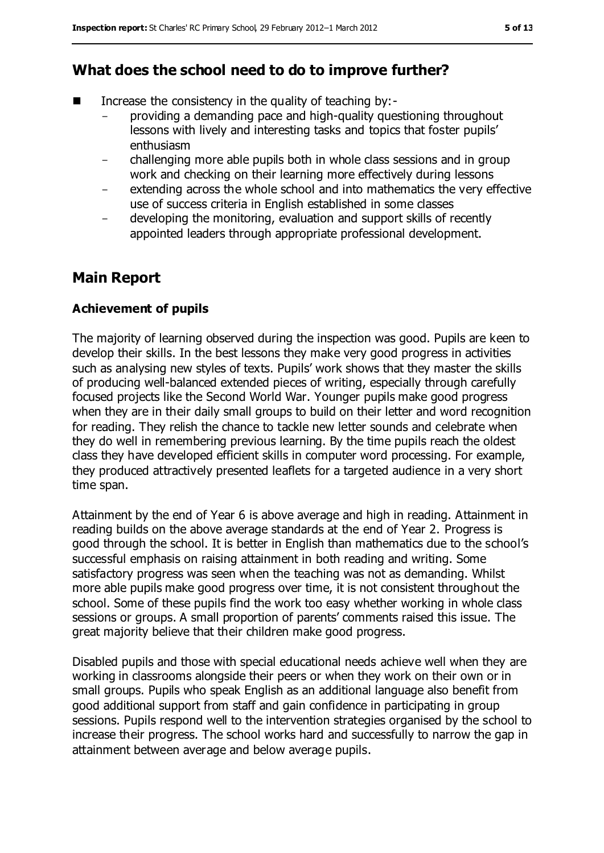## **What does the school need to do to improve further?**

- Increase the consistency in the quality of teaching by:
	- providing a demanding pace and high-quality questioning throughout lessons with lively and interesting tasks and topics that foster pupils' enthusiasm
	- challenging more able pupils both in whole class sessions and in group work and checking on their learning more effectively during lessons
	- extending across the whole school and into mathematics the very effective use of success criteria in English established in some classes
	- developing the monitoring, evaluation and support skills of recently appointed leaders through appropriate professional development.

## **Main Report**

### **Achievement of pupils**

The majority of learning observed during the inspection was good. Pupils are keen to develop their skills. In the best lessons they make very good progress in activities such as analysing new styles of texts. Pupils' work shows that they master the skills of producing well-balanced extended pieces of writing, especially through carefully focused projects like the Second World War. Younger pupils make good progress when they are in their daily small groups to build on their letter and word recognition for reading. They relish the chance to tackle new letter sounds and celebrate when they do well in remembering previous learning. By the time pupils reach the oldest class they have developed efficient skills in computer word processing. For example, they produced attractively presented leaflets for a targeted audience in a very short time span.

Attainment by the end of Year 6 is above average and high in reading. Attainment in reading builds on the above average standards at the end of Year 2. Progress is good through the school. It is better in English than mathematics due to the school's successful emphasis on raising attainment in both reading and writing. Some satisfactory progress was seen when the teaching was not as demanding. Whilst more able pupils make good progress over time, it is not consistent throughout the school. Some of these pupils find the work too easy whether working in whole class sessions or groups. A small proportion of parents' comments raised this issue. The great majority believe that their children make good progress.

Disabled pupils and those with special educational needs achieve well when they are working in classrooms alongside their peers or when they work on their own or in small groups. Pupils who speak English as an additional language also benefit from good additional support from staff and gain confidence in participating in group sessions. Pupils respond well to the intervention strategies organised by the school to increase their progress. The school works hard and successfully to narrow the gap in attainment between average and below average pupils.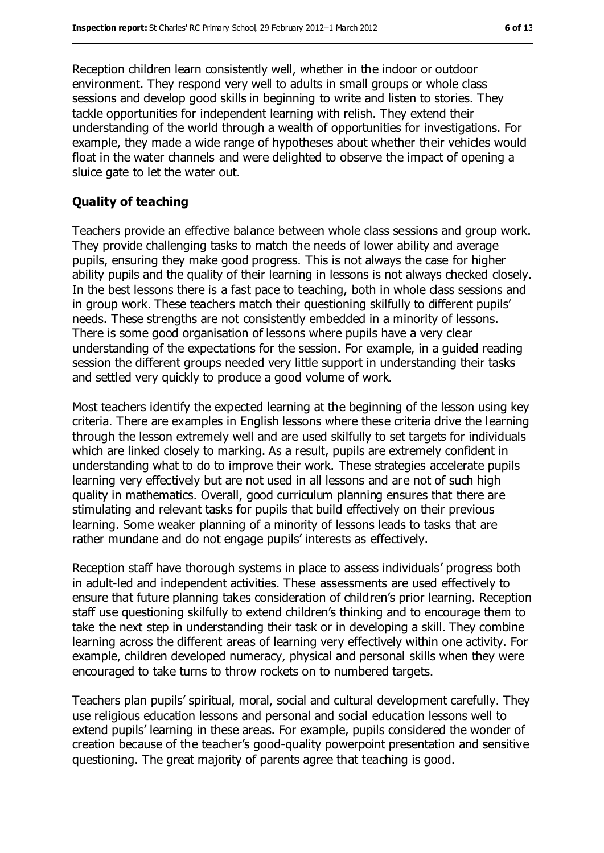Reception children learn consistently well, whether in the indoor or outdoor environment. They respond very well to adults in small groups or whole class sessions and develop good skills in beginning to write and listen to stories. They tackle opportunities for independent learning with relish. They extend their understanding of the world through a wealth of opportunities for investigations. For example, they made a wide range of hypotheses about whether their vehicles would float in the water channels and were delighted to observe the impact of opening a sluice gate to let the water out.

#### **Quality of teaching**

Teachers provide an effective balance between whole class sessions and group work. They provide challenging tasks to match the needs of lower ability and average pupils, ensuring they make good progress. This is not always the case for higher ability pupils and the quality of their learning in lessons is not always checked closely. In the best lessons there is a fast pace to teaching, both in whole class sessions and in group work. These teachers match their questioning skilfully to different pupils' needs. These strengths are not consistently embedded in a minority of lessons. There is some good organisation of lessons where pupils have a very clear understanding of the expectations for the session. For example, in a guided reading session the different groups needed very little support in understanding their tasks and settled very quickly to produce a good volume of work.

Most teachers identify the expected learning at the beginning of the lesson using key criteria. There are examples in English lessons where these criteria drive the learning through the lesson extremely well and are used skilfully to set targets for individuals which are linked closely to marking. As a result, pupils are extremely confident in understanding what to do to improve their work. These strategies accelerate pupils learning very effectively but are not used in all lessons and are not of such high quality in mathematics. Overall, good curriculum planning ensures that there are stimulating and relevant tasks for pupils that build effectively on their previous learning. Some weaker planning of a minority of lessons leads to tasks that are rather mundane and do not engage pupils' interests as effectively.

Reception staff have thorough systems in place to assess individuals' progress both in adult-led and independent activities. These assessments are used effectively to ensure that future planning takes consideration of children's prior learning. Reception staff use questioning skilfully to extend children's thinking and to encourage them to take the next step in understanding their task or in developing a skill. They combine learning across the different areas of learning very effectively within one activity. For example, children developed numeracy, physical and personal skills when they were encouraged to take turns to throw rockets on to numbered targets.

Teachers plan pupils' spiritual, moral, social and cultural development carefully. They use religious education lessons and personal and social education lessons well to extend pupils' learning in these areas. For example, pupils considered the wonder of creation because of the teacher's good-quality powerpoint presentation and sensitive questioning. The great majority of parents agree that teaching is good.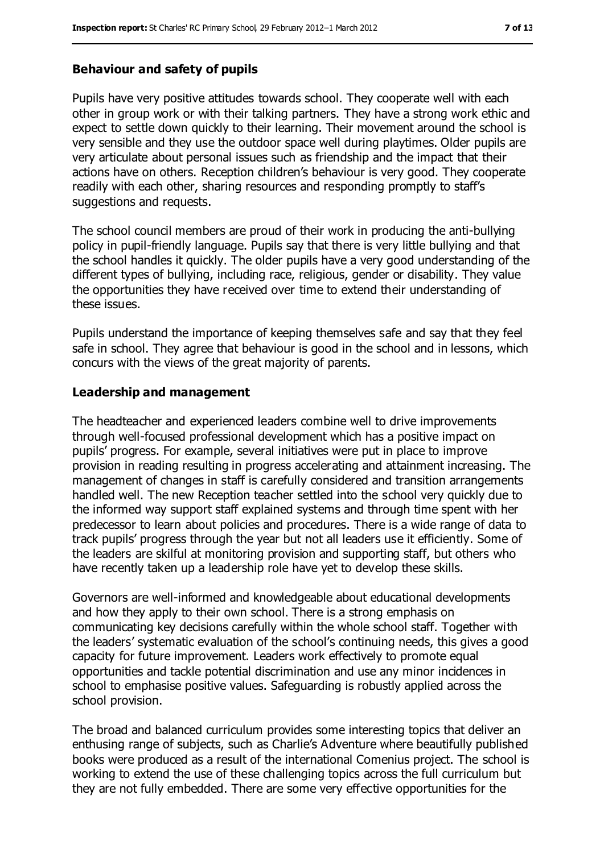#### **Behaviour and safety of pupils**

Pupils have very positive attitudes towards school. They cooperate well with each other in group work or with their talking partners. They have a strong work ethic and expect to settle down quickly to their learning. Their movement around the school is very sensible and they use the outdoor space well during playtimes. Older pupils are very articulate about personal issues such as friendship and the impact that their actions have on others. Reception children's behaviour is very good. They cooperate readily with each other, sharing resources and responding promptly to staff's suggestions and requests.

The school council members are proud of their work in producing the anti-bullying policy in pupil-friendly language. Pupils say that there is very little bullying and that the school handles it quickly. The older pupils have a very good understanding of the different types of bullying, including race, religious, gender or disability. They value the opportunities they have received over time to extend their understanding of these issues.

Pupils understand the importance of keeping themselves safe and say that they feel safe in school. They agree that behaviour is good in the school and in lessons, which concurs with the views of the great majority of parents.

#### **Leadership and management**

The headteacher and experienced leaders combine well to drive improvements through well-focused professional development which has a positive impact on pupils' progress. For example, several initiatives were put in place to improve provision in reading resulting in progress accelerating and attainment increasing. The management of changes in staff is carefully considered and transition arrangements handled well. The new Reception teacher settled into the school very quickly due to the informed way support staff explained systems and through time spent with her predecessor to learn about policies and procedures. There is a wide range of data to track pupils' progress through the year but not all leaders use it efficiently. Some of the leaders are skilful at monitoring provision and supporting staff, but others who have recently taken up a leadership role have yet to develop these skills.

Governors are well-informed and knowledgeable about educational developments and how they apply to their own school. There is a strong emphasis on communicating key decisions carefully within the whole school staff. Together with the leaders' systematic evaluation of the school's continuing needs, this gives a good capacity for future improvement. Leaders work effectively to promote equal opportunities and tackle potential discrimination and use any minor incidences in school to emphasise positive values. Safeguarding is robustly applied across the school provision.

The broad and balanced curriculum provides some interesting topics that deliver an enthusing range of subjects, such as Charlie's Adventure where beautifully published books were produced as a result of the international Comenius project. The school is working to extend the use of these challenging topics across the full curriculum but they are not fully embedded. There are some very effective opportunities for the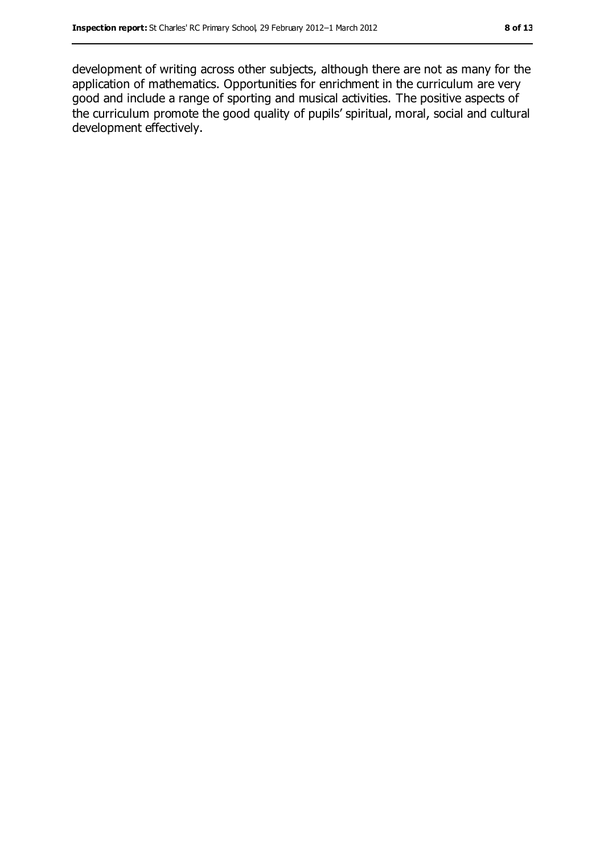development of writing across other subjects, although there are not as many for the application of mathematics. Opportunities for enrichment in the curriculum are very good and include a range of sporting and musical activities. The positive aspects of the curriculum promote the good quality of pupils' spiritual, moral, social and cultural development effectively.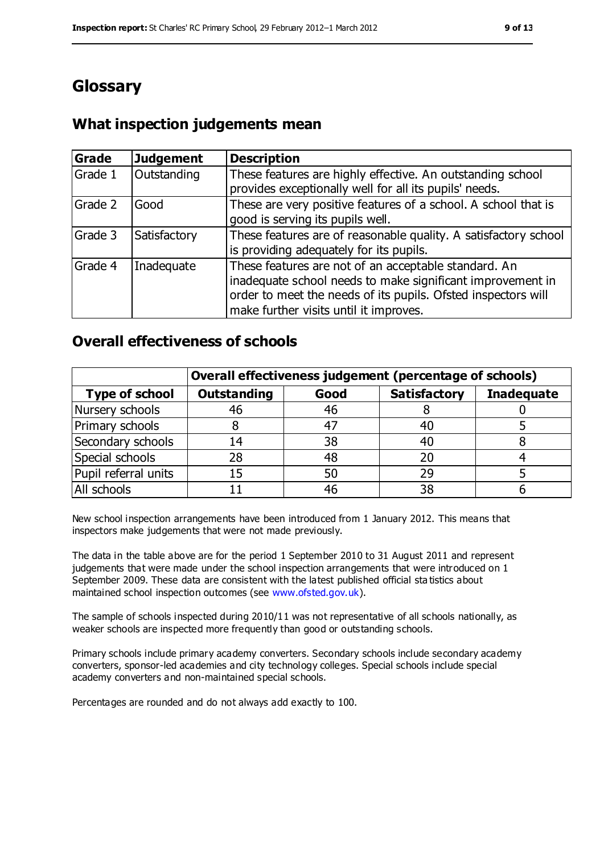# **Glossary**

## **What inspection judgements mean**

| Grade   | <b>Judgement</b> | <b>Description</b>                                                                                                                                                                                                            |
|---------|------------------|-------------------------------------------------------------------------------------------------------------------------------------------------------------------------------------------------------------------------------|
| Grade 1 | Outstanding      | These features are highly effective. An outstanding school<br>provides exceptionally well for all its pupils' needs.                                                                                                          |
| Grade 2 | Good             | These are very positive features of a school. A school that is<br>good is serving its pupils well.                                                                                                                            |
| Grade 3 | Satisfactory     | These features are of reasonable quality. A satisfactory school<br>is providing adequately for its pupils.                                                                                                                    |
| Grade 4 | Inadequate       | These features are not of an acceptable standard. An<br>inadequate school needs to make significant improvement in<br>order to meet the needs of its pupils. Ofsted inspectors will<br>make further visits until it improves. |

## **Overall effectiveness of schools**

|                       | Overall effectiveness judgement (percentage of schools) |      |                     |                   |
|-----------------------|---------------------------------------------------------|------|---------------------|-------------------|
| <b>Type of school</b> | <b>Outstanding</b>                                      | Good | <b>Satisfactory</b> | <b>Inadequate</b> |
| Nursery schools       | 46                                                      | 46   |                     |                   |
| Primary schools       | 8                                                       | 47   | 40                  |                   |
| Secondary schools     | 14                                                      | 38   | 40                  |                   |
| Special schools       | 28                                                      | 48   | 20                  |                   |
| Pupil referral units  | 15                                                      | 50   | 29                  |                   |
| All schools           |                                                         | 46   | 38                  |                   |

New school inspection arrangements have been introduced from 1 January 2012. This means that inspectors make judgements that were not made previously.

The data in the table above are for the period 1 September 2010 to 31 August 2011 and represent judgements that were made under the school inspection arrangements that were introduced on 1 September 2009. These data are consistent with the latest published official sta tistics about maintained school inspection outcomes (see [www.ofsted.gov.uk\)](../../../../../AppData/Local/Microsoft/AppData/Local/Microsoft/Windows/Temporary%20Internet%20Files/Low/Content.IE5/VO866RFS/www.ofsted.gov.uk).

The sample of schools inspected during 2010/11 was not representative of all schools nationally, as weaker schools are inspected more frequently than good or outstanding schools.

Primary schools include primary academy converters. Secondary schools include secondary academy converters, sponsor-led academies and city technology colleges. Special schools include special academy converters and non-maintained special schools.

Percentages are rounded and do not always add exactly to 100.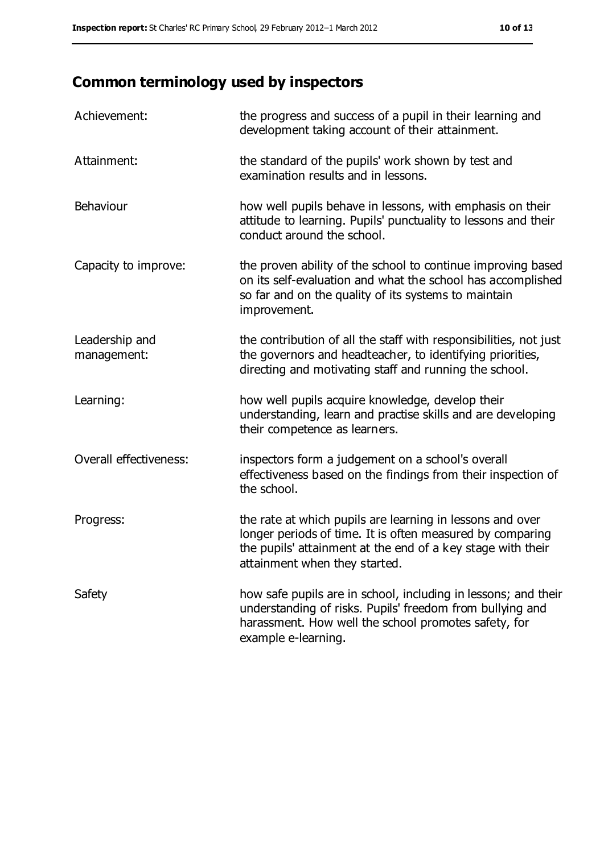# **Common terminology used by inspectors**

| Achievement:                  | the progress and success of a pupil in their learning and<br>development taking account of their attainment.                                                                                                           |
|-------------------------------|------------------------------------------------------------------------------------------------------------------------------------------------------------------------------------------------------------------------|
| Attainment:                   | the standard of the pupils' work shown by test and<br>examination results and in lessons.                                                                                                                              |
| Behaviour                     | how well pupils behave in lessons, with emphasis on their<br>attitude to learning. Pupils' punctuality to lessons and their<br>conduct around the school.                                                              |
| Capacity to improve:          | the proven ability of the school to continue improving based<br>on its self-evaluation and what the school has accomplished<br>so far and on the quality of its systems to maintain<br>improvement.                    |
| Leadership and<br>management: | the contribution of all the staff with responsibilities, not just<br>the governors and headteacher, to identifying priorities,<br>directing and motivating staff and running the school.                               |
| Learning:                     | how well pupils acquire knowledge, develop their<br>understanding, learn and practise skills and are developing<br>their competence as learners.                                                                       |
| Overall effectiveness:        | inspectors form a judgement on a school's overall<br>effectiveness based on the findings from their inspection of<br>the school.                                                                                       |
| Progress:                     | the rate at which pupils are learning in lessons and over<br>longer periods of time. It is often measured by comparing<br>the pupils' attainment at the end of a key stage with their<br>attainment when they started. |
| Safety                        | how safe pupils are in school, including in lessons; and their<br>understanding of risks. Pupils' freedom from bullying and<br>harassment. How well the school promotes safety, for<br>example e-learning.             |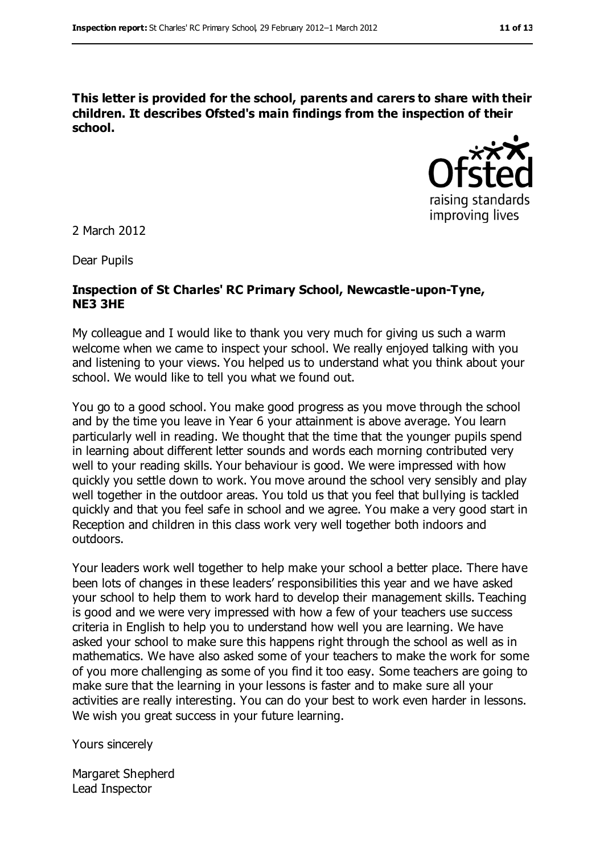**This letter is provided for the school, parents and carers to share with their children. It describes Ofsted's main findings from the inspection of their school.**



2 March 2012

Dear Pupils

#### **Inspection of St Charles' RC Primary School, Newcastle-upon-Tyne, NE3 3HE**

My colleague and I would like to thank you very much for giving us such a warm welcome when we came to inspect your school. We really enjoyed talking with you and listening to your views. You helped us to understand what you think about your school. We would like to tell you what we found out.

You go to a good school. You make good progress as you move through the school and by the time you leave in Year 6 your attainment is above average. You learn particularly well in reading. We thought that the time that the younger pupils spend in learning about different letter sounds and words each morning contributed very well to your reading skills. Your behaviour is good. We were impressed with how quickly you settle down to work. You move around the school very sensibly and play well together in the outdoor areas. You told us that you feel that bullying is tackled quickly and that you feel safe in school and we agree. You make a very good start in Reception and children in this class work very well together both indoors and outdoors.

Your leaders work well together to help make your school a better place. There have been lots of changes in these leaders' responsibilities this year and we have asked your school to help them to work hard to develop their management skills. Teaching is good and we were very impressed with how a few of your teachers use success criteria in English to help you to understand how well you are learning. We have asked your school to make sure this happens right through the school as well as in mathematics. We have also asked some of your teachers to make the work for some of you more challenging as some of you find it too easy. Some teachers are going to make sure that the learning in your lessons is faster and to make sure all your activities are really interesting. You can do your best to work even harder in lessons. We wish you great success in your future learning.

Yours sincerely

Margaret Shepherd Lead Inspector